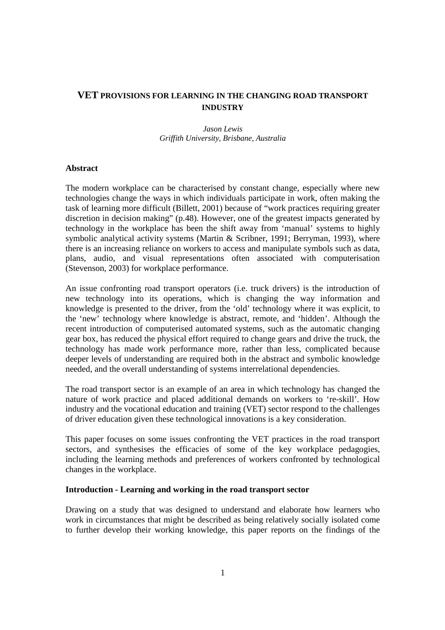# **VET PROVISIONS FOR LEARNING IN THE CHANGING ROAD TRANSPORT INDUSTRY**

# *Jason Lewis Griffith University, Brisbane, Australia*

### **Abstract**

The modern workplace can be characterised by constant change, especially where new technologies change the ways in which individuals participate in work, often making the task of learning more difficult (Billett, 2001) because of "work practices requiring greater discretion in decision making" (p.48). However, one of the greatest impacts generated by technology in the workplace has been the shift away from 'manual' systems to highly symbolic analytical activity systems (Martin & Scribner, 1991; Berryman, 1993), where there is an increasing reliance on workers to access and manipulate symbols such as data, plans, audio, and visual representations often associated with computerisation (Stevenson, 2003) for workplace performance.

An issue confronting road transport operators (i.e. truck drivers) is the introduction of new technology into its operations, which is changing the way information and knowledge is presented to the driver, from the 'old' technology where it was explicit, to the 'new' technology where knowledge is abstract, remote, and 'hidden'. Although the recent introduction of computerised automated systems, such as the automatic changing gear box, has reduced the physical effort required to change gears and drive the truck, the technology has made work performance more, rather than less, complicated because deeper levels of understanding are required both in the abstract and symbolic knowledge needed, and the overall understanding of systems interrelational dependencies.

The road transport sector is an example of an area in which technology has changed the nature of work practice and placed additional demands on workers to 're-skill'. How industry and the vocational education and training (VET) sector respond to the challenges of driver education given these technological innovations is a key consideration.

This paper focuses on some issues confronting the VET practices in the road transport sectors, and synthesises the efficacies of some of the key workplace pedagogies, including the learning methods and preferences of workers confronted by technological changes in the workplace.

### **Introduction - Learning and working in the road transport sector**

Drawing on a study that was designed to understand and elaborate how learners who work in circumstances that might be described as being relatively socially isolated come to further develop their working knowledge, this paper reports on the findings of the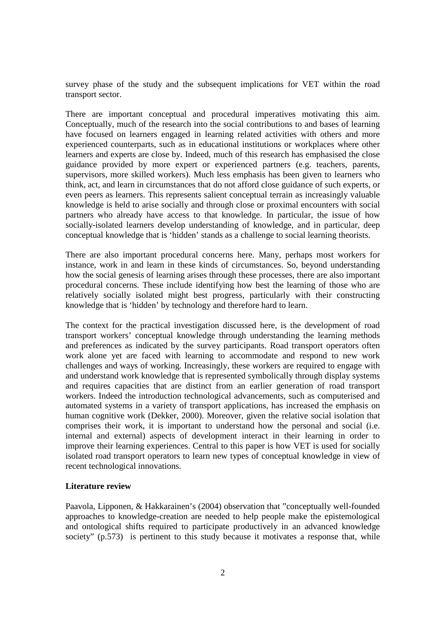survey phase of the study and the subsequent implications for VET within the road transport sector.

There are important conceptual and procedural imperatives motivating this aim. Conceptually, much of the research into the social contributions to and bases of learning have focused on learners engaged in learning related activities with others and more experienced counterparts, such as in educational institutions or workplaces where other learners and experts are close by. Indeed, much of this research has emphasised the close guidance provided by more expert or experienced partners (e.g. teachers, parents, supervisors, more skilled workers). Much less emphasis has been given to learners who think, act, and learn in circumstances that do not afford close guidance of such experts, or even peers as learners. This represents salient conceptual terrain as increasingly valuable knowledge is held to arise socially and through close or proximal encounters with social partners who already have access to that knowledge. In particular, the issue of how socially-isolated learners develop understanding of knowledge, and in particular, deep conceptual knowledge that is 'hidden' stands as a challenge to social learning theorists.

There are also important procedural concerns here. Many, perhaps most workers for instance, work in and learn in these kinds of circumstances. So, beyond understanding how the social genesis of learning arises through these processes, there are also important procedural concerns. These include identifying how best the learning of those who are relatively socially isolated might best progress, particularly with their constructing knowledge that is 'hidden' by technology and therefore hard to learn.

The context for the practical investigation discussed here, is the development of road transport workers' conceptual knowledge through understanding the learning methods and preferences as indicated by the survey participants. Road transport operators often work alone yet are faced with learning to accommodate and respond to new work challenges and ways of working. Increasingly, these workers are required to engage with and understand work knowledge that is represented symbolically through display systems and requires capacities that are distinct from an earlier generation of road transport workers. Indeed the introduction technological advancements, such as computerised and automated systems in a variety of transport applications, has increased the emphasis on human cognitive work (Dekker, 2000). Moreover, given the relative social isolation that comprises their work, it is important to understand how the personal and social (i.e. internal and external) aspects of development interact in their learning in order to improve their learning experiences. Central to this paper is how VET is used for socially isolated road transport operators to learn new types of conceptual knowledge in view of recent technological innovations.

### **Literature review**

Paavola, Lipponen, & Hakkarainen's (2004) observation that "conceptually well-founded approaches to knowledge-creation are needed to help people make the epistemological and ontological shifts required to participate productively in an advanced knowledge society" (p.573) is pertinent to this study because it motivates a response that, while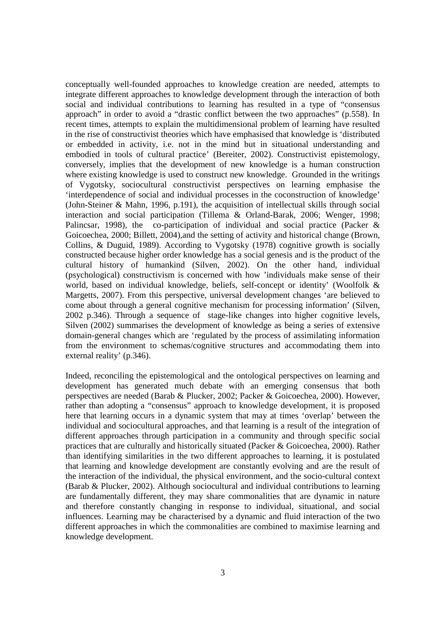conceptually well-founded approaches to knowledge creation are needed, attempts to integrate different approaches to knowledge development through the interaction of both social and individual contributions to learning has resulted in a type of "consensus approach" in order to avoid a "drastic conflict between the two approaches" (p.558). In recent times, attempts to explain the multidimensional problem of learning have resulted in the rise of constructivist theories which have emphasised that knowledge is 'distributed or embedded in activity, i.e. not in the mind but in situational understanding and embodied in tools of cultural practice' (Bereiter, 2002). Constructivist epistemology, conversely, implies that the development of new knowledge is a human construction where existing knowledge is used to construct new knowledge. Grounded in the writings of Vygotsky, sociocultural constructivist perspectives on learning emphasise the 'interdependence of social and individual processes in the coconstruction of knowledge' (John-Steiner & Mahn, 1996, p.191), the acquisition of intellectual skills through social interaction and social participation (Tillema & Orland-Barak, 2006; Wenger, 1998; Palincsar, 1998), the co-participation of individual and social practice (Packer & Goicoechea, 2000; Billett, 2004),and the setting of activity and historical change (Brown, Collins, & Duguid, 1989). According to Vygotsky (1978) cognitive growth is socially constructed because higher order knowledge has a social genesis and is the product of the cultural history of humankind (Silven, 2002). On the other hand, individual (psychological) constructivism is concerned with how 'individuals make sense of their world, based on individual knowledge, beliefs, self-concept or identity' (Woolfolk & Margetts, 2007). From this perspective, universal development changes 'are believed to come about through a general cognitive mechanism for processing information' (Silven, 2002 p.346). Through a sequence of stage-like changes into higher cognitive levels, Silven (2002) summarises the development of knowledge as being a series of extensive domain-general changes which are 'regulated by the process of assimilating information from the environment to schemas/cognitive structures and accommodating them into external reality' (p.346).

Indeed, reconciling the epistemological and the ontological perspectives on learning and development has generated much debate with an emerging consensus that both perspectives are needed (Barab & Plucker, 2002; Packer & Goicoechea, 2000). However, rather than adopting a "consensus" approach to knowledge development, it is proposed here that learning occurs in a dynamic system that may at times 'overlap' between the individual and sociocultural approaches, and that learning is a result of the integration of different approaches through participation in a community and through specific social practices that are culturally and historically situated (Packer & Goicoechea, 2000). Rather than identifying similarities in the two different approaches to learning, it is postulated that learning and knowledge development are constantly evolving and are the result of the interaction of the individual, the physical environment, and the socio-cultural context (Barab & Plucker, 2002). Although sociocultural and individual contributions to learning are fundamentally different, they may share commonalities that are dynamic in nature and therefore constantly changing in response to individual, situational, and social influences. Learning may be characterised by a dynamic and fluid interaction of the two different approaches in which the commonalities are combined to maximise learning and knowledge development.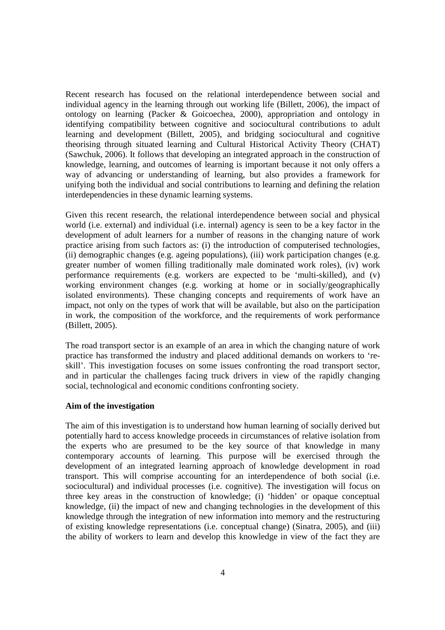Recent research has focused on the relational interdependence between social and individual agency in the learning through out working life (Billett, 2006), the impact of ontology on learning (Packer & Goicoechea, 2000), appropriation and ontology in identifying compatibility between cognitive and sociocultural contributions to adult learning and development (Billett, 2005), and bridging sociocultural and cognitive theorising through situated learning and Cultural Historical Activity Theory (CHAT) (Sawchuk, 2006). It follows that developing an integrated approach in the construction of knowledge, learning, and outcomes of learning is important because it not only offers a way of advancing or understanding of learning, but also provides a framework for unifying both the individual and social contributions to learning and defining the relation interdependencies in these dynamic learning systems.

Given this recent research, the relational interdependence between social and physical world (i.e. external) and individual (i.e. internal) agency is seen to be a key factor in the development of adult learners for a number of reasons in the changing nature of work practice arising from such factors as: (i) the introduction of computerised technologies, (ii) demographic changes (e.g. ageing populations), (iii) work participation changes (e.g. greater number of women filling traditionally male dominated work roles), (iv) work performance requirements (e.g. workers are expected to be 'multi-skilled), and (v) working environment changes (e.g. working at home or in socially/geographically isolated environments). These changing concepts and requirements of work have an impact, not only on the types of work that will be available, but also on the participation in work, the composition of the workforce, and the requirements of work performance (Billett, 2005).

The road transport sector is an example of an area in which the changing nature of work practice has transformed the industry and placed additional demands on workers to 'reskill'. This investigation focuses on some issues confronting the road transport sector, and in particular the challenges facing truck drivers in view of the rapidly changing social, technological and economic conditions confronting society.

### **Aim of the investigation**

The aim of this investigation is to understand how human learning of socially derived but potentially hard to access knowledge proceeds in circumstances of relative isolation from the experts who are presumed to be the key source of that knowledge in many contemporary accounts of learning. This purpose will be exercised through the development of an integrated learning approach of knowledge development in road transport. This will comprise accounting for an interdependence of both social (i.e. sociocultural) and individual processes (i.e. cognitive). The investigation will focus on three key areas in the construction of knowledge; (i) 'hidden' or opaque conceptual knowledge, (ii) the impact of new and changing technologies in the development of this knowledge through the integration of new information into memory and the restructuring of existing knowledge representations (i.e. conceptual change) (Sinatra, 2005), and (iii) the ability of workers to learn and develop this knowledge in view of the fact they are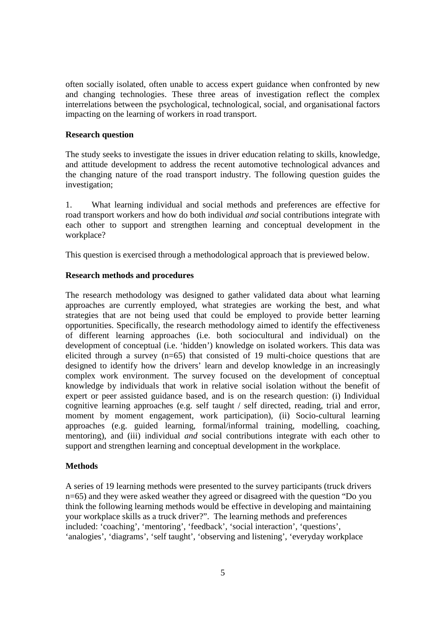often socially isolated, often unable to access expert guidance when confronted by new and changing technologies. These three areas of investigation reflect the complex interrelations between the psychological, technological, social, and organisational factors impacting on the learning of workers in road transport.

### **Research question**

The study seeks to investigate the issues in driver education relating to skills, knowledge, and attitude development to address the recent automotive technological advances and the changing nature of the road transport industry. The following question guides the investigation;

1. What learning individual and social methods and preferences are effective for road transport workers and how do both individual *and* social contributions integrate with each other to support and strengthen learning and conceptual development in the workplace?

This question is exercised through a methodological approach that is previewed below.

#### **Research methods and procedures**

The research methodology was designed to gather validated data about what learning approaches are currently employed, what strategies are working the best, and what strategies that are not being used that could be employed to provide better learning opportunities. Specifically, the research methodology aimed to identify the effectiveness of different learning approaches (i.e. both sociocultural and individual) on the development of conceptual (i.e. 'hidden') knowledge on isolated workers. This data was elicited through a survey (n=65) that consisted of 19 multi-choice questions that are designed to identify how the drivers' learn and develop knowledge in an increasingly complex work environment. The survey focused on the development of conceptual knowledge by individuals that work in relative social isolation without the benefit of expert or peer assisted guidance based, and is on the research question: (i) Individual cognitive learning approaches (e.g. self taught / self directed, reading, trial and error, moment by moment engagement, work participation), (ii) Socio-cultural learning approaches (e.g. guided learning, formal/informal training, modelling, coaching, mentoring), and (iii) individual *and* social contributions integrate with each other to support and strengthen learning and conceptual development in the workplace.

### **Methods**

A series of 19 learning methods were presented to the survey participants (truck drivers n=65) and they were asked weather they agreed or disagreed with the question "Do you think the following learning methods would be effective in developing and maintaining your workplace skills as a truck driver?". The learning methods and preferences included: 'coaching', 'mentoring', 'feedback', 'social interaction', 'questions', 'analogies', 'diagrams', 'self taught', 'observing and listening', 'everyday workplace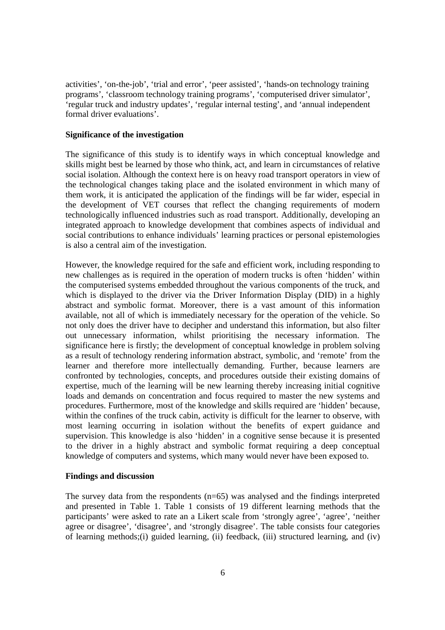activities', 'on-the-job', 'trial and error', 'peer assisted', 'hands-on technology training programs', 'classroom technology training programs', 'computerised driver simulator', 'regular truck and industry updates', 'regular internal testing', and 'annual independent formal driver evaluations'.

### **Significance of the investigation**

The significance of this study is to identify ways in which conceptual knowledge and skills might best be learned by those who think, act, and learn in circumstances of relative social isolation. Although the context here is on heavy road transport operators in view of the technological changes taking place and the isolated environment in which many of them work, it is anticipated the application of the findings will be far wider, especial in the development of VET courses that reflect the changing requirements of modern technologically influenced industries such as road transport. Additionally, developing an integrated approach to knowledge development that combines aspects of individual and social contributions to enhance individuals' learning practices or personal epistemologies is also a central aim of the investigation.

However, the knowledge required for the safe and efficient work, including responding to new challenges as is required in the operation of modern trucks is often 'hidden' within the computerised systems embedded throughout the various components of the truck, and which is displayed to the driver via the Driver Information Display (DID) in a highly abstract and symbolic format. Moreover, there is a vast amount of this information available, not all of which is immediately necessary for the operation of the vehicle. So not only does the driver have to decipher and understand this information, but also filter out unnecessary information, whilst prioritising the necessary information. The significance here is firstly; the development of conceptual knowledge in problem solving as a result of technology rendering information abstract, symbolic, and 'remote' from the learner and therefore more intellectually demanding. Further, because learners are confronted by technologies, concepts, and procedures outside their existing domains of expertise, much of the learning will be new learning thereby increasing initial cognitive loads and demands on concentration and focus required to master the new systems and procedures. Furthermore, most of the knowledge and skills required are 'hidden' because, within the confines of the truck cabin, activity is difficult for the learner to observe, with most learning occurring in isolation without the benefits of expert guidance and supervision. This knowledge is also 'hidden' in a cognitive sense because it is presented to the driver in a highly abstract and symbolic format requiring a deep conceptual knowledge of computers and systems, which many would never have been exposed to.

#### **Findings and discussion**

The survey data from the respondents (n=65) was analysed and the findings interpreted and presented in Table 1. Table 1 consists of 19 different learning methods that the participants' were asked to rate an a Likert scale from 'strongly agree', 'agree', 'neither agree or disagree', 'disagree', and 'strongly disagree'. The table consists four categories of learning methods;(i) guided learning, (ii) feedback, (iii) structured learning, and (iv)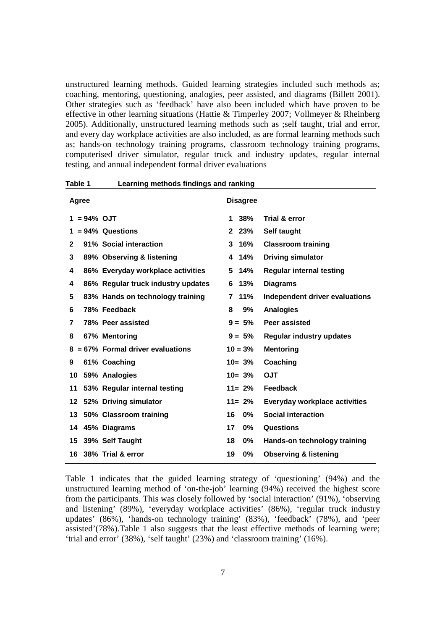unstructured learning methods. Guided learning strategies included such methods as; coaching, mentoring, questioning, analogies, peer assisted, and diagrams (Billett 2001). Other strategies such as 'feedback' have also been included which have proven to be effective in other learning situations (Hattie & Timperley 2007; Vollmeyer & Rheinberg 2005). Additionally, unstructured learning methods such as ;self taught, trial and error, and every day workplace activities are also included, as are formal learning methods such as; hands-on technology training programs, classroom technology training programs, computerised driver simulator, regular truck and industry updates, regular internal testing, and annual independent formal driver evaluations

| Agree          |                                      | <b>Disagree</b>     |                                  |
|----------------|--------------------------------------|---------------------|----------------------------------|
| $1 = 94\%$ OJT |                                      | 38%<br>1            | Trial & error                    |
|                | $= 94\%$ Questions                   | $2\;\;23\%$         | Self taught                      |
| $\mathbf{2}$   | 91% Social interaction               | 16%<br>3            | <b>Classroom training</b>        |
| 3              | 89% Observing & listening            | 14%<br>4            | <b>Driving simulator</b>         |
| 4              | 86% Everyday workplace activities    | 14%<br>5            | <b>Regular internal testing</b>  |
| 4              | 86% Regular truck industry updates   | 13%<br>6            | <b>Diagrams</b>                  |
| 5              | 83% Hands on technology training     | 11%<br>$\mathbf{7}$ | Independent driver evaluations   |
| 6              | 78% Feedback                         | 9%<br>8             | <b>Analogies</b>                 |
| 7              | 78% Peer assisted                    | $9 = 5%$            | Peer assisted                    |
| 8              | 67% Mentoring                        | $9 = 5%$            | <b>Regular industry updates</b>  |
|                | $8 = 67\%$ Formal driver evaluations | $10 = 3%$           | <b>Mentoring</b>                 |
| 9              | 61% Coaching                         | $10 = 3\%$          | Coaching                         |
|                | 10 59% Analogies                     | $10 = 3\%$          | <b>OJT</b>                       |
| 11             | 53% Regular internal testing         | $11 = 2\%$          | Feedback                         |
|                | 12 52% Driving simulator             | $11 = 2\%$          | Everyday workplace activities    |
|                | 13 50% Classroom training            | 16<br>$0\%$         | <b>Social interaction</b>        |
|                | 14 45% Diagrams                      | 17<br>$0\%$         | Questions                        |
|                | 15 39% Self Taught                   | 18<br>$0\%$         | Hands-on technology training     |
|                | 16 38% Trial & error                 | 19<br>$0\%$         | <b>Observing &amp; listening</b> |

**Table 1 Learning methods findings and ranking** 

Table 1 indicates that the guided learning strategy of 'questioning' (94%) and the unstructured learning method of 'on-the-job' learning (94%) received the highest score from the participants. This was closely followed by 'social interaction' (91%), 'observing and listening' (89%), 'everyday workplace activities' (86%), 'regular truck industry updates' (86%), 'hands-on technology training' (83%), 'feedback' (78%), and 'peer assisted'(78%).Table 1 also suggests that the least effective methods of learning were; 'trial and error' (38%), 'self taught' (23%) and 'classroom training' (16%).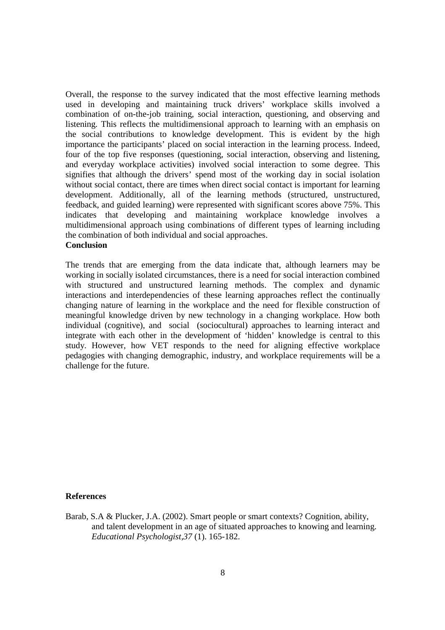Overall, the response to the survey indicated that the most effective learning methods used in developing and maintaining truck drivers' workplace skills involved a combination of on-the-job training, social interaction, questioning, and observing and listening. This reflects the multidimensional approach to learning with an emphasis on the social contributions to knowledge development. This is evident by the high importance the participants' placed on social interaction in the learning process. Indeed, four of the top five responses (questioning, social interaction, observing and listening, and everyday workplace activities) involved social interaction to some degree. This signifies that although the drivers' spend most of the working day in social isolation without social contact, there are times when direct social contact is important for learning development. Additionally, all of the learning methods (structured, unstructured, feedback, and guided learning) were represented with significant scores above 75%. This indicates that developing and maintaining workplace knowledge involves a multidimensional approach using combinations of different types of learning including the combination of both individual and social approaches. **Conclusion** 

The trends that are emerging from the data indicate that, although learners may be working in socially isolated circumstances, there is a need for social interaction combined with structured and unstructured learning methods. The complex and dynamic interactions and interdependencies of these learning approaches reflect the continually changing nature of learning in the workplace and the need for flexible construction of meaningful knowledge driven by new technology in a changing workplace. How both individual (cognitive), and social (sociocultural) approaches to learning interact and integrate with each other in the development of 'hidden' knowledge is central to this study. However, how VET responds to the need for aligning effective workplace pedagogies with changing demographic, industry, and workplace requirements will be a challenge for the future.

# **References**

Barab, S.A & Plucker, J.A. (2002). Smart people or smart contexts? Cognition, ability, and talent development in an age of situated approaches to knowing and learning. *Educational Psychologist,37* (1). 165-182.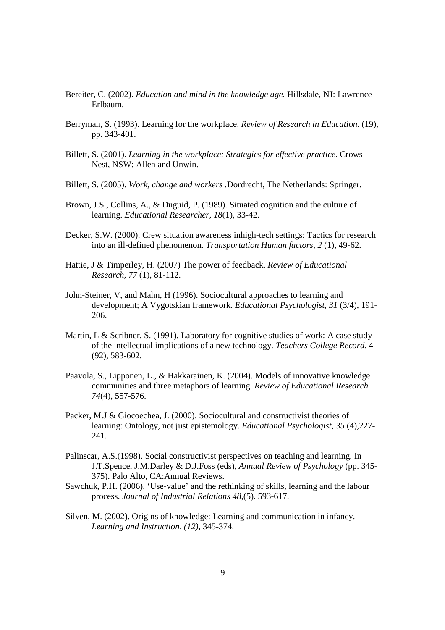- Bereiter, C. (2002). *Education and mind in the knowledge age.* Hillsdale, NJ: Lawrence Erlbaum.
- Berryman, S. (1993). Learning for the workplace. *Review of Research in Education.* (19), pp. 343-401.
- Billett, S. (2001). *Learning in the workplace: Strategies for effective practice.* Crows Nest, NSW: Allen and Unwin.
- Billett, S. (2005). *Work, change and workers .*Dordrecht, The Netherlands: Springer.
- Brown, J.S., Collins, A., & Duguid, P. (1989). Situated cognition and the culture of learning. *Educational Researcher, 18*(1), 33-42.
- Decker, S.W. (2000). Crew situation awareness inhigh-tech settings: Tactics for research into an ill-defined phenomenon. *Transportation Human factors, 2* (1), 49-62.
- Hattie, J & Timperley, H. (2007) The power of feedback. *Review of Educational Research, 77* (1), 81-112.
- John-Steiner, V, and Mahn, H (1996). Sociocultural approaches to learning and development; A Vygotskian framework. *Educational Psychologist, 31* (3/4), 191- 206.
- Martin, L & Scribner, S. (1991). Laboratory for cognitive studies of work: A case study of the intellectual implications of a new technology. *Teachers College Record,* 4 (92), 583-602.
- Paavola, S., Lipponen, L., & Hakkarainen, K. (2004). Models of innovative knowledge communities and three metaphors of learning. *Review of Educational Research 74*(4), 557-576.
- Packer, M.J & Giocoechea, J. (2000). Sociocultural and constructivist theories of learning: Ontology, not just epistemology. *Educational Psychologist, 35* (4),227- 241.
- Palinscar, A.S.(1998). Social constructivist perspectives on teaching and learning. In J.T.Spence, J.M.Darley & D.J.Foss (eds), *Annual Review of Psychology* (pp. 345- 375). Palo Alto, CA:Annual Reviews.
- Sawchuk, P.H. (2006). 'Use-value' and the rethinking of skills, learning and the labour process. *Journal of Industrial Relations 48,*(5). 593-617.
- Silven, M. (2002). Origins of knowledge: Learning and communication in infancy. *Learning and Instruction, (12),* 345-374.